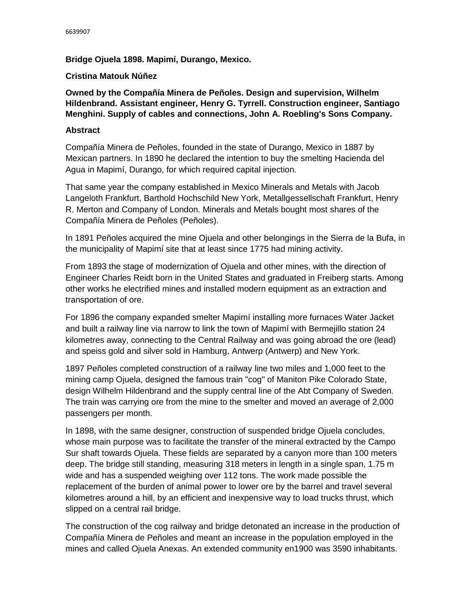## **Bridge Ojuela 1898. Mapimí, Durango, Mexico.**

## **Cristina Matouk Núñez**

**Owned by the Compañía Minera de Peñoles. Design and supervision, Wilhelm Hildenbrand. Assistant engineer, Henry G. Tyrrell. Construction engineer, Santiago Menghini. Supply of cables and connections, John A. Roebling's Sons Company.**

## **Abstract**

Compañía Minera de Peñoles, founded in the state of Durango, Mexico in 1887 by Mexican partners. In 1890 he declared the intention to buy the smelting Hacienda del Agua in Mapimí, Durango, for which required capital injection.

That same year the company established in Mexico Minerals and Metals with Jacob Langeloth Frankfurt, Barthold Hochschild New York, Metallgessellschaft Frankfurt, Henry R. Merton and Company of London. Minerals and Metals bought most shares of the Compañía Minera de Peñoles (Peñoles).

In 1891 Peñoles acquired the mine Ojuela and other belongings in the Sierra de la Bufa, in the municipality of Mapimí site that at least since 1775 had mining activity.

From 1893 the stage of modernization of Ojuela and other mines, with the direction of Engineer Charles Reidt born in the United States and graduated in Freiberg starts. Among other works he electrified mines and installed modern equipment as an extraction and transportation of ore.

For 1896 the company expanded smelter Mapimí installing more furnaces Water Jacket and built a railway line via narrow to link the town of Mapimí with Bermejillo station 24 kilometres away, connecting to the Central Railway and was going abroad the ore (lead) and speiss gold and silver sold in Hamburg, Antwerp (Antwerp) and New York.

1897 Peñoles completed construction of a railway line two miles and 1,000 feet to the mining camp Ojuela, designed the famous train "cog" of Maniton Pike Colorado State, design Wilhelm Hildenbrand and the supply central line of the Abt Company of Sweden. The train was carrying ore from the mine to the smelter and moved an average of 2,000 passengers per month.

In 1898, with the same designer, construction of suspended bridge Ojuela concludes, whose main purpose was to facilitate the transfer of the mineral extracted by the Campo Sur shaft towards Ojuela. These fields are separated by a canyon more than 100 meters deep. The bridge still standing, measuring 318 meters in length in a single span, 1.75 m wide and has a suspended weighing over 112 tons. The work made possible the replacement of the burden of animal power to lower ore by the barrel and travel several kilometres around a hill, by an efficient and inexpensive way to load trucks thrust, which slipped on a central rail bridge.

The construction of the cog railway and bridge detonated an increase in the production of Compañía Minera de Peñoles and meant an increase in the population employed in the mines and called Ojuela Anexas. An extended community en1900 was 3590 inhabitants.